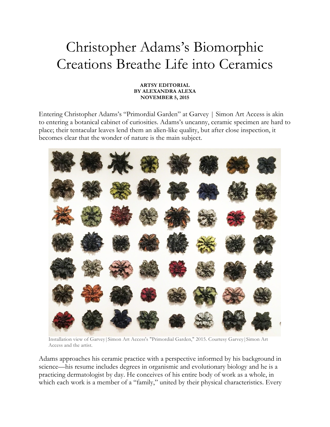## Christopher Adams's Biomorphic Creations Breathe Life into Ceramics

## **ARTSY EDITORIAL BY ALEXANDRA ALEXA NOVEMBER 5, 2015**

Entering Christopher Adams's "Primordial Garden" at Garvey | Simon Art Access is akin to entering a botanical cabinet of curiosities. Adams's uncanny, ceramic specimen are hard to place; their tentacular leaves lend them an alien-like quality, but after close inspection, it becomes clear that the wonder of nature is the main subject.



Installation view of Garvey|Simon Art Access's "Primordial Garden," 2015. Courtesy Garvey|Simon Art Access and the artist.

Adams approaches his ceramic practice with a perspective informed by his background in science—his resume includes degrees in organismic and evolutionary biology and he is a practicing dermatologist by day. He conceives of his entire body of work as a whole, in which each work is a member of a "family," united by their physical characteristics. Every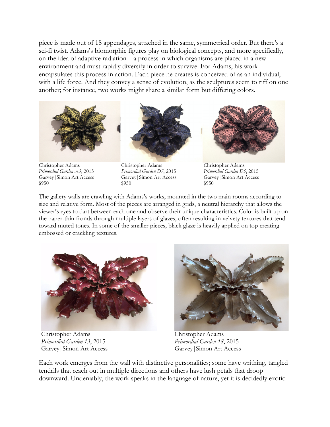piece is made out of 18 appendages, attached in the same, symmetrical order. But there's a sci-fi twist. Adams's biomorphic figures play on biological concepts, and more specifically, on the idea of adaptive radiation—a process in which organisms are placed in a new environment and must rapidly diversify in order to survive. For Adams, his work encapsulates this process in action. Each piece he creates is conceived of as an individual, with a life force. And they convey a sense of evolution, as the sculptures seem to riff on one another; for instance, two works might share a similar form but differing colors.



Christopher Adams Christopher Adams Christopher Adams *Primordial Garden A5*, 2015 *Primordial Garden D7*, 2015 *Primordial Garden D5*, 2015 Garvey|Simon Art Access Garvey|Simon Art Access Garvey|Simon Art Access  $$950$  \$950 \$950





The gallery walls are crawling with Adams's works, mounted in the two main rooms according to size and relative form. Most of the pieces are arranged in grids, a neutral hierarchy that allows the viewer's eyes to dart between each one and observe their unique characteristics. Color is built up on the paper-thin fronds through multiple layers of glazes, often resulting in velvety textures that tend toward muted tones. In some of the smaller pieces, black glaze is heavily applied on top creating embossed or crackling textures.



Christopher Adams Christopher Adams *Primordial Garden 13*, 2015 *Primordial Garden 18*, 2015 Garvey Simon Art Access Garvey Simon Art Access



Each work emerges from the wall with distinctive personalities; some have writhing, tangled tendrils that reach out in multiple directions and others have lush petals that droop downward. Undeniably, the work speaks in the language of nature, yet it is decidedly exotic